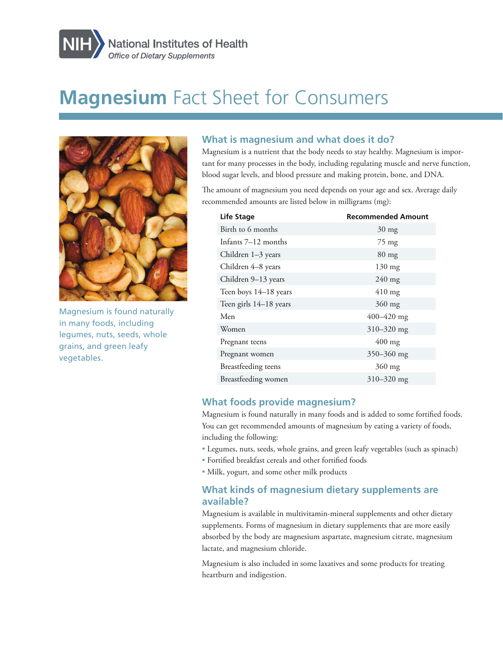

# **Magnesium** Fact Sheet for Consumers



Magnesium is found naturally in many foods, including legumes, nuts, seeds, whole grains, and green leafy vegetables.

# **What is magnesium and what does it do?**

Magnesium is a nutrient that the body needs to stay healthy. Magnesium is important for many processes in the body, including regulating muscle and nerve function, blood sugar levels, and blood pressure and making protein, bone, and DNA.

The amount of magnesium you need depends on your age and sex. Average daily recommended amounts are listed below in milligrams (mg):

| Life Stage             | <b>Recommended Amount</b> |
|------------------------|---------------------------|
| Birth to 6 months      | $30 \text{ mg}$           |
| Infants 7–12 months    | 75 mg                     |
| Children 1-3 years     | $80 \text{ mg}$           |
| Children 4-8 years     | $130 \text{ mg}$          |
| Children 9–13 years    | 240 mg                    |
| Teen boys 14–18 years  | 410 mg                    |
| Teen girls 14-18 years | 360 mg                    |
| Men                    | $400 - 420$ mg            |
| Women                  | $310 - 320$ mg            |
| Pregnant teens         | $400$ mg                  |
| Pregnant women         | 350–360 mg                |
| Breastfeeding teens    | 360 mg                    |
| Breastfeeding women    | $310 - 320$ mg            |

## **What foods provide magnesium?**

Magnesium is found naturally in many foods and is added to some fortified foods. You can get recommended amounts of magnesium by eating a variety of foods, including the following:

- Legumes, nuts, seeds, whole grains, and green leafy vegetables (such as spinach)
- Fortified breakfast cereals and other fortified foods
- Milk, yogurt, and some other milk products

# **What kinds of magnesium dietary supplements are available?**

Magnesium is available in multivitamin-mineral supplements and other dietary supplements. Forms of magnesium in dietary supplements that are more easily absorbed by the body are magnesium aspartate, magnesium citrate, magnesium lactate, and magnesium chloride.

Magnesium is also included in some laxatives and some products for treating heartburn and indigestion.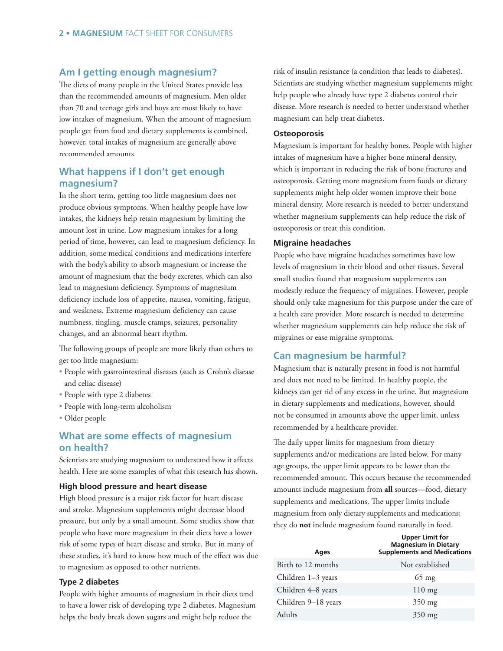### **Am I getting enough magnesium?**

The diets of many people in the United States provide less than the recommended amounts of magnesium. Men older than 70 and teenage girls and boys are most likely to have low intakes of magnesium. When the amount of magnesium people get from food and dietary supplements is combined, however, total intakes of magnesium are generally above recommended amounts

## **What happens if I don't get enough magnesium?**

In the short term, getting too little magnesium does not produce obvious symptoms. When healthy people have low intakes, the kidneys help retain magnesium by limiting the amount lost in urine. Low magnesium intakes for a long period of time, however, can lead to magnesium deficiency. In addition, some medical conditions and medications interfere with the body's ability to absorb magnesium or increase the amount of magnesium that the body excretes, which can also lead to magnesium deficiency. Symptoms of magnesium deficiency include loss of appetite, nausea, vomiting, fatigue, and weakness. Extreme magnesium deficiency can cause numbness, tingling, muscle cramps, seizures, personality changes, and an abnormal heart rhythm.

The following groups of people are more likely than others to get too little magnesium:

- People with gastrointestinal diseases (such as Crohn's disease and celiac disease)
- People with type 2 diabetes
- People with long-term alcoholism
- Older people

## **What are some effects of magnesium on health?**

Scientists are studying magnesium to understand how it affects health. Here are some examples of what this research has shown.

#### **High blood pressure and heart disease**

High blood pressure is a major risk factor for heart disease and stroke. Magnesium supplements might decrease blood pressure, but only by a small amount. Some studies show that people who have more magnesium in their diets have a lower risk of some types of heart disease and stroke. But in many of these studies, it's hard to know how much of the effect was due to magnesium as opposed to other nutrients.

#### **Type 2 diabetes**

People with higher amounts of magnesium in their diets tend to have a lower risk of developing type 2 diabetes. Magnesium helps the body break down sugars and might help reduce the

risk of insulin resistance (a condition that leads to diabetes). Scientists are studying whether magnesium supplements might help people who already have type 2 diabetes control their disease. More research is needed to better understand whether magnesium can help treat diabetes.

#### **Osteoporosis**

Magnesium is important for healthy bones. People with higher intakes of magnesium have a higher bone mineral density, which is important in reducing the risk of bone fractures and osteoporosis. Getting more magnesium from foods or dietary supplements might help older women improve their bone mineral density. More research is needed to better understand whether magnesium supplements can help reduce the risk of osteoporosis or treat this condition.

#### **Migraine headaches**

People who have migraine headaches sometimes have low levels of magnesium in their blood and other tissues. Several small studies found that magnesium supplements can modestly reduce the frequency of migraines. However, people should only take magnesium for this purpose under the care of a health care provider. More research is needed to determine whether magnesium supplements can help reduce the risk of migraines or ease migraine symptoms.

## **Can magnesium be harmful?**

Magnesium that is naturally present in food is not harmful and does not need to be limited. In healthy people, the kidneys can get rid of any excess in the urine. But magnesium in dietary supplements and medications, however, should not be consumed in amounts above the upper limit, unless recommended by a healthcare provider.

The daily upper limits for magnesium from dietary supplements and/or medications are listed below. For many age groups, the upper limit appears to be lower than the recommended amount. This occurs because the recommended amounts include magnesium from **all** sources—food, dietary supplements and medications. The upper limits include magnesium from only dietary supplements and medications; they do **not** include magnesium found naturally in food.

| <b>Upper Limit for</b><br><b>Magnesium in Dietary</b><br><b>Supplements and Medications</b> |
|---------------------------------------------------------------------------------------------|
| Not established                                                                             |
| $65 \text{ mg}$                                                                             |
| $110 \text{ mg}$                                                                            |
| $350$ mg                                                                                    |
| $350$ mg                                                                                    |
|                                                                                             |